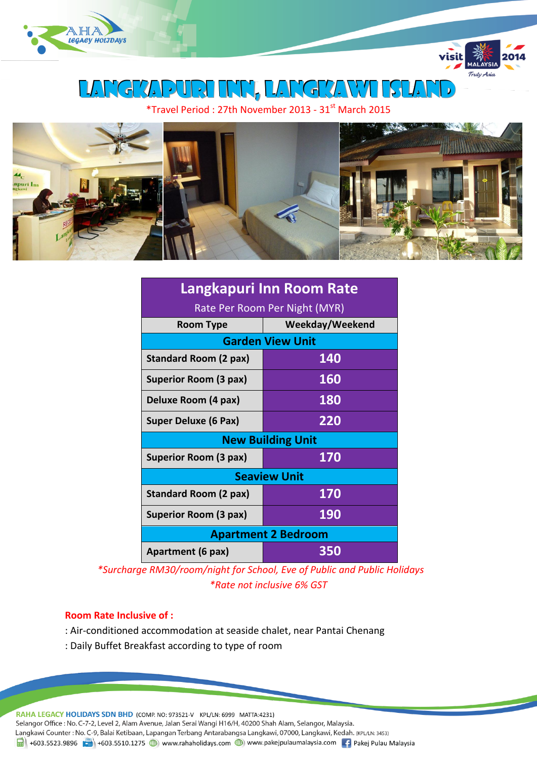



Langkapuri inn, LANGKAWI island

\*Travel Period : 27th November 2013 - 31st March 2015



| Langkapuri Inn Room Rate      |                 |  |  |  |  |  |
|-------------------------------|-----------------|--|--|--|--|--|
| Rate Per Room Per Night (MYR) |                 |  |  |  |  |  |
| <b>Room Type</b>              | Weekday/Weekend |  |  |  |  |  |
| <b>Garden View Unit</b>       |                 |  |  |  |  |  |
| <b>Standard Room (2 pax)</b>  | 140             |  |  |  |  |  |
| Superior Room (3 pax)         | <b>160</b>      |  |  |  |  |  |
| Deluxe Room (4 pax)           | 180             |  |  |  |  |  |
| <b>Super Deluxe (6 Pax)</b>   | 220             |  |  |  |  |  |
| <b>New Building Unit</b>      |                 |  |  |  |  |  |
| Superior Room (3 pax)         | 170             |  |  |  |  |  |
| <b>Seaview Unit</b>           |                 |  |  |  |  |  |
| <b>Standard Room (2 pax)</b>  | 170             |  |  |  |  |  |
| <b>Superior Room (3 pax)</b>  | <b>190</b>      |  |  |  |  |  |
| <b>Apartment 2 Bedroom</b>    |                 |  |  |  |  |  |
| Apartment (6 pax)             | 350             |  |  |  |  |  |

*\*Surcharge RM30/room/night for School, Eve of Public and Public Holidays \*Rate not inclusive 6% GST*

## **Room Rate Inclusive of :**

- : Air-conditioned accommodation at seaside chalet, near Pantai Chenang
- : Daily Buffet Breakfast according to type of room

RAHA LEGACY HOLIDAYS SDN BHD (COMP. NO: 973521-V KPL/LN: 6999 MATTA:4231) Selangor Office : No. C-7-2, Level 2, Alam Avenue, Jalan Serai Wangi H16/H, 40200 Shah Alam, Selangor, Malaysia. Langkawi Counter: No. C-9, Balai Ketibaan, Lapangan Terbang Antarabangsa Langkawi, 07000, Langkawi, Kedah. (KPL/LN: 3453) 1988 +603.5523.9896 + +603.5510.1275 + +603.5510.1275 + +603.5510.1275 + +603.5510.1275 + +603.5510.1275 + +603.5510.1275 + +603.5510.1275 + +603.5510.1275 + +603.5510.1275 + +603.5510.1275 + +603.5510.1275 + +603.5510.127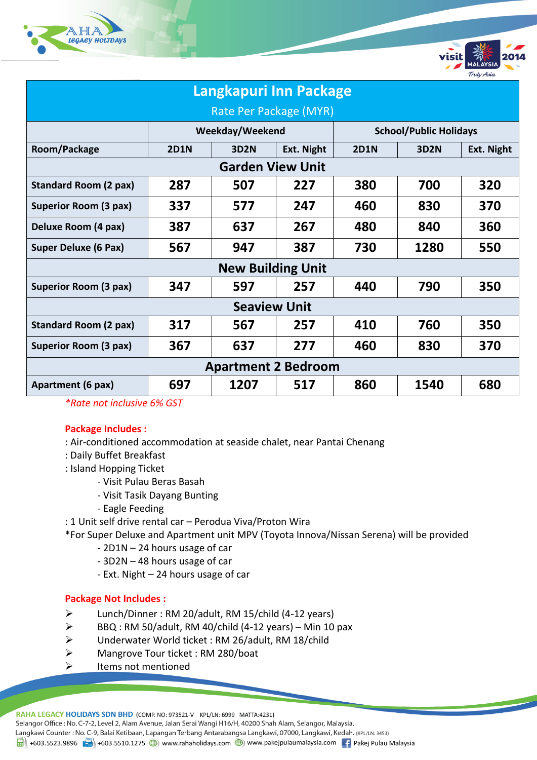



| Langkapuri Inn Package       |                 |             |            |                               |             |            |  |
|------------------------------|-----------------|-------------|------------|-------------------------------|-------------|------------|--|
| Rate Per Package (MYR)       |                 |             |            |                               |             |            |  |
|                              | Weekday/Weekend |             |            | <b>School/Public Holidays</b> |             |            |  |
| Room/Package                 | <b>2D1N</b>     | <b>3D2N</b> | Ext. Night | <b>2D1N</b>                   | <b>3D2N</b> | Ext. Night |  |
| <b>Garden View Unit</b>      |                 |             |            |                               |             |            |  |
| <b>Standard Room (2 pax)</b> | 287             | 507         | 227        | 380                           | 700         | 320        |  |
| Superior Room (3 pax)        | 337             | 577         | 247        | 460                           | 830         | 370        |  |
| Deluxe Room (4 pax)          | 387             | 637         | 267        | 480                           | 840         | 360        |  |
| Super Deluxe (6 Pax)         | 567             | 947         | 387        | 730                           | 1280        | 550        |  |
| <b>New Building Unit</b>     |                 |             |            |                               |             |            |  |
| Superior Room (3 pax)        | 347             | 597         | 257        | 440                           | 790         | 350        |  |
| <b>Seaview Unit</b>          |                 |             |            |                               |             |            |  |
| <b>Standard Room (2 pax)</b> | 317             | 567         | 257        | 410                           | 760         | 350        |  |
| Superior Room (3 pax)        | 367             | 637         | 277        | 460                           | 830         | 370        |  |
| <b>Apartment 2 Bedroom</b>   |                 |             |            |                               |             |            |  |
| Apartment (6 pax)            | 697             | 1207        | 517        | 860                           | 1540        | 680        |  |

*\*Rate not inclusive 6% GST*

## **Package Includes :**

- : Air-conditioned accommodation at seaside chalet, near Pantai Chenang
- : Daily Buffet Breakfast
- : Island Hopping Ticket
	- Visit Pulau Beras Basah
	- Visit Tasik Dayang Bunting
	- Eagle Feeding
- : 1 Unit self drive rental car Perodua Viva/Proton Wira
- \*For Super Deluxe and Apartment unit MPV (Toyota Innova/Nissan Serena) will be provided
	- 2D1N 24 hours usage of car
	- 3D2N 48 hours usage of car
	- Ext. Night 24 hours usage of car

## **Package Not Includes :**

- Lunch/Dinner : RM 20/adult, RM 15/child (4-12 years)
- $\triangleright$  BBQ : RM 50/adult, RM 40/child (4-12 years) Min 10 pax
- Underwater World ticket : RM 26/adult, RM 18/child
- Mangrove Tour ticket : RM 280/boat
- $\triangleright$  Items not mentioned

RAHA LEGACY HOLIDAYS SDN BHD (COMP. NO: 973521-V KPL/LN: 6999 MATTA:4231)

Selangor Office: No. C-7-2, Level 2, Alam Avenue, Jalan Serai Wangi H16/H, 40200 Shah Alam, Selangor, Malaysia.

Langkawi Counter : No. C-9, Balai Ketibaan, Lapangan Terbang Antarabangsa Langkawi, 07000, Langkawi, Kedah. (KPL/LN: 3453)

1988 +603.5523.9896 + +603.5510.1275 + +603.5510.1275 + +603.5510.1275 + +603.5510.1275 + +603.5510.1275 + +603.5510.1275 + +603.5510.1275 + +603.5510.1275 + +603.5510.1275 + +603.5510.1275 + +603.5510.1275 + +603.5510.127